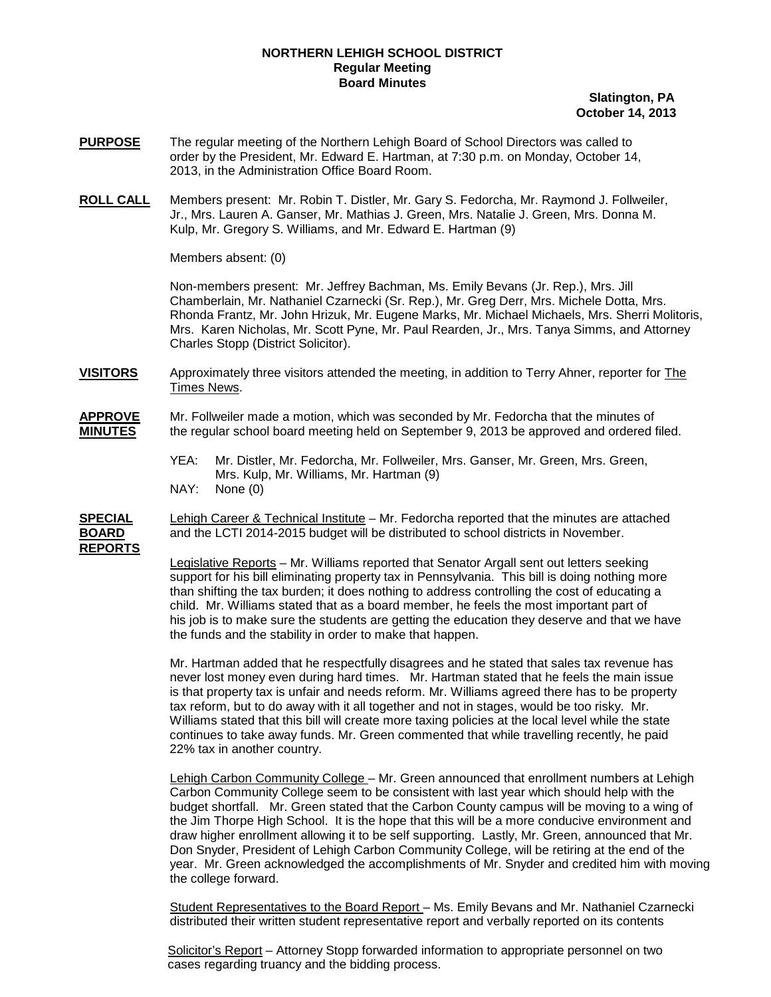## **NORTHERN LEHIGH SCHOOL DISTRICT Regular Meeting Board Minutes**

## **Slatington, PA October 14, 2013**

- **PURPOSE** The regular meeting of the Northern Lehigh Board of School Directors was called to order by the President, Mr. Edward E. Hartman, at 7:30 p.m. on Monday, October 14, 2013, in the Administration Office Board Room.
- **ROLL CALL** Members present: Mr. Robin T. Distler, Mr. Gary S. Fedorcha, Mr. Raymond J. Follweiler, Jr., Mrs. Lauren A. Ganser, Mr. Mathias J. Green, Mrs. Natalie J. Green, Mrs. Donna M. Kulp, Mr. Gregory S. Williams, and Mr. Edward E. Hartman (9)

Members absent: (0)

Non-members present: Mr. Jeffrey Bachman, Ms. Emily Bevans (Jr. Rep.), Mrs. Jill Chamberlain, Mr. Nathaniel Czarnecki (Sr. Rep.), Mr. Greg Derr, Mrs. Michele Dotta, Mrs. Rhonda Frantz, Mr. John Hrizuk, Mr. Eugene Marks, Mr. Michael Michaels, Mrs. Sherri Molitoris, Mrs. Karen Nicholas, Mr. Scott Pyne, Mr. Paul Rearden, Jr., Mrs. Tanya Simms, and Attorney Charles Stopp (District Solicitor).

**VISITORS** Approximately three visitors attended the meeting, in addition to Terry Ahner, reporter for The Times News.

- **APPROVE** Mr. Follweiler made a motion, which was seconded by Mr. Fedorcha that the minutes of **MINUTES** the regular school board meeting held on September 9, 2013 be approved and ordered filed.
	- YEA: Mr. Distler, Mr. Fedorcha, Mr. Follweiler, Mrs. Ganser, Mr. Green, Mrs. Green, Mrs. Kulp, Mr. Williams, Mr. Hartman (9)
	- NAY: None (0)

**SPECIAL** Lehigh Career & Technical Institute – Mr. Fedorcha reported that the minutes are attached and the LCTI 2014-2015 budget will be distributed to school districts in November. **REPORTS**

> <u>Legislative Reports</u> – Mr. Williams reported that Senator Argall sent out letters seeking child. Mr. Williams stated that as a board member, he feels the most important part of his job is to make sure the students are getting the education they deserve and that we have the funds and the stability in order to make that happen. support for his bill eliminating property tax in Pennsylvania. This bill is doing nothing more than shifting the tax burden; it does nothing to address controlling the cost of educating a

Mr. Hartman added that he respectfully disagrees and he stated that sales tax revenue has never lost money even during hard times. Mr. Hartman stated that he feels the main issue is that property tax is unfair and needs reform. Mr. Williams agreed there has to be property tax reform, but to do away with it all together and not in stages, would be too risky. Mr. Williams stated that this bill will create more taxing policies at the local level while the state continues to take away funds. Mr. Green commented that while travelling recently, he paid 22% tax in another country.

Lehigh Carbon Community College – Mr. Green announced that enrollment numbers at Lehigh Carbon Community College seem to be consistent with last year which should help with the budget shortfall. Mr. Green stated that the Carbon County campus will be moving to a wing of the Jim Thorpe High School. It is the hope that this will be a more conducive environment and draw higher enrollment allowing it to be self supporting. Lastly, Mr. Green, announced that Mr. Don Snyder, President of Lehigh Carbon Community College, will be retiring at the end of the year. Mr. Green acknowledged the accomplishments of Mr. Snyder and credited him with moving the college forward.

Student Representatives to the Board Report – Ms. Emily Bevans and Mr. Nathaniel Czarnecki distributed their written student representative report and verbally reported on its contents

Solicitor's Report – Attorney Stopp forwarded information to appropriate personnel on two cases regarding truancy and the bidding process.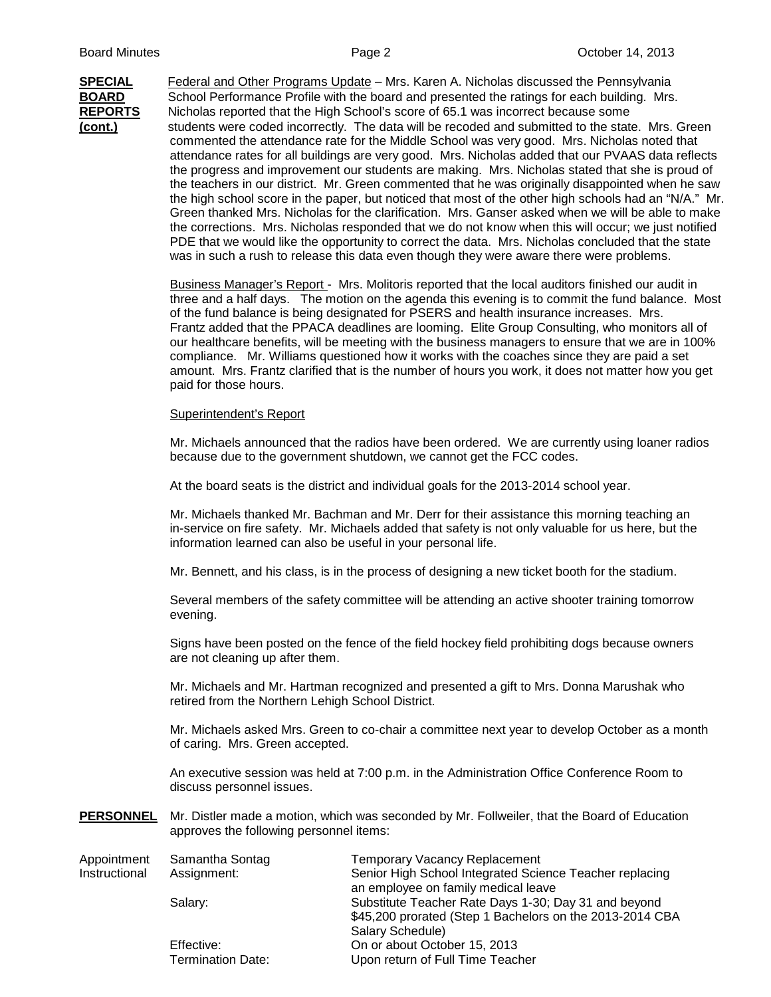**SPECIAL** Federal and Other Programs Update – Mrs. Karen A. Nicholas discussed the Pennsylvania **BOARD** School Performance Profile with the board and presented the ratings for each building. Mrs. **REPORTS** Nicholas reported that the High School's score of 65.1 was incorrect because some **(cont.)** students were coded incorrectly. The data will be recoded and submitted to the state. Mrs. Green commented the attendance rate for the Middle School was very good. Mrs. Nicholas noted that attendance rates for all buildings are very good. Mrs. Nicholas added that our PVAAS data reflects the progress and improvement our students are making. Mrs. Nicholas stated that she is proud of the teachers in our district. Mr. Green commented that he was originally disappointed when he saw the high school score in the paper, but noticed that most of the other high schools had an "N/A." Mr. Green thanked Mrs. Nicholas for the clarification. Mrs. Ganser asked when we will be able to make the corrections. Mrs. Nicholas responded that we do not know when this will occur; we just notified PDE that we would like the opportunity to correct the data. Mrs. Nicholas concluded that the state was in such a rush to release this data even though they were aware there were problems.

> Business Manager's Report - Mrs. Molitoris reported that the local auditors finished our audit in three and a half days. The motion on the agenda this evening is to commit the fund balance. Most of the fund balance is being designated for PSERS and health insurance increases. Mrs. Frantz added that the PPACA deadlines are looming. Elite Group Consulting, who monitors all of our healthcare benefits, will be meeting with the business managers to ensure that we are in 100% compliance. Mr. Williams questioned how it works with the coaches since they are paid a set amount. Mrs. Frantz clarified that is the number of hours you work, it does not matter how you get paid for those hours.

## Superintendent's Report

Mr. Michaels announced that the radios have been ordered. We are currently using loaner radios because due to the government shutdown, we cannot get the FCC codes.

At the board seats is the district and individual goals for the 2013-2014 school year.

Mr. Michaels thanked Mr. Bachman and Mr. Derr for their assistance this morning teaching an in-service on fire safety. Mr. Michaels added that safety is not only valuable for us here, but the information learned can also be useful in your personal life.

Mr. Bennett, and his class, is in the process of designing a new ticket booth for the stadium.

Several members of the safety committee will be attending an active shooter training tomorrow evening.

Signs have been posted on the fence of the field hockey field prohibiting dogs because owners are not cleaning up after them.

Mr. Michaels and Mr. Hartman recognized and presented a gift to Mrs. Donna Marushak who retired from the Northern Lehigh School District.

Mr. Michaels asked Mrs. Green to co-chair a committee next year to develop October as a month of caring. Mrs. Green accepted.

An executive session was held at 7:00 p.m. in the Administration Office Conference Room to discuss personnel issues.

**PERSONNEL** Mr. Distler made a motion, which was seconded by Mr. Follweiler, that the Board of Education approves the following personnel items:

| Appointment   | Samantha Sontag          | <b>Temporary Vacancy Replacement</b>                     |
|---------------|--------------------------|----------------------------------------------------------|
| Instructional | Assignment:              | Senior High School Integrated Science Teacher replacing  |
|               |                          | an employee on family medical leave                      |
|               | Salary:                  | Substitute Teacher Rate Days 1-30; Day 31 and beyond     |
|               |                          | \$45,200 prorated (Step 1 Bachelors on the 2013-2014 CBA |
|               |                          | Salary Schedule)                                         |
|               | Effective:               | On or about October 15, 2013                             |
|               | <b>Termination Date:</b> | Upon return of Full Time Teacher                         |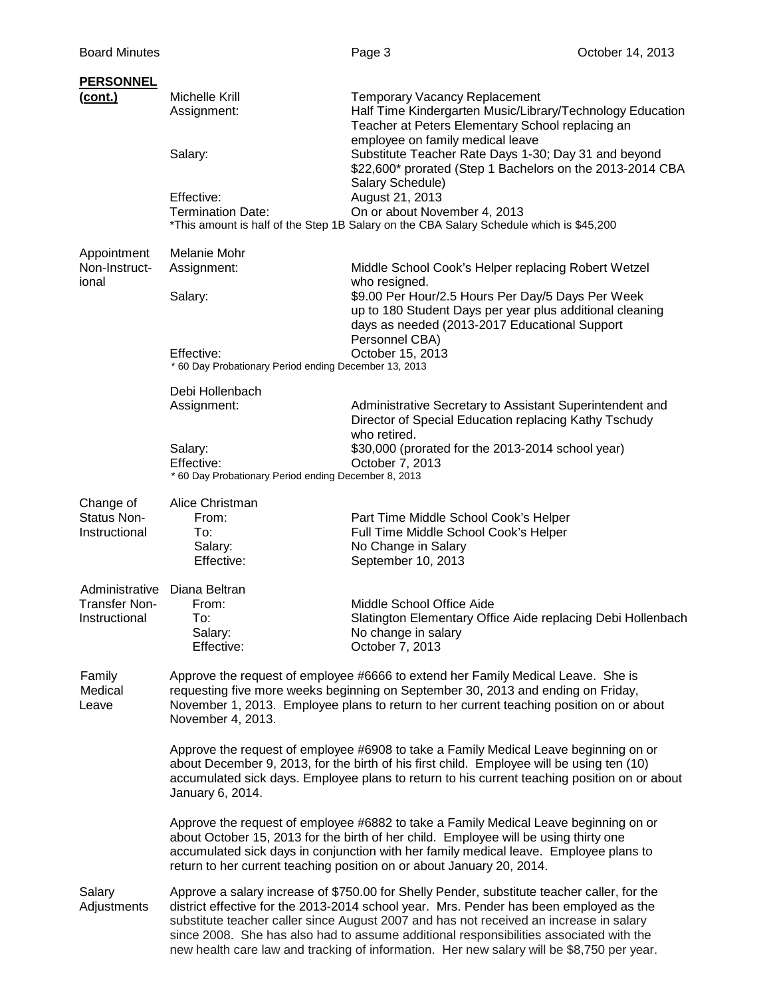| <b>PERSONNEL</b>                                        |                                                                                                                                                                                                                                                                                                                                                |                                                                                                                                                                                                                                                                                                                                                                                                                                                                        |  |  |  |
|---------------------------------------------------------|------------------------------------------------------------------------------------------------------------------------------------------------------------------------------------------------------------------------------------------------------------------------------------------------------------------------------------------------|------------------------------------------------------------------------------------------------------------------------------------------------------------------------------------------------------------------------------------------------------------------------------------------------------------------------------------------------------------------------------------------------------------------------------------------------------------------------|--|--|--|
| <u>(cont.)</u>                                          | Michelle Krill<br>Assignment:                                                                                                                                                                                                                                                                                                                  | <b>Temporary Vacancy Replacement</b><br>Half Time Kindergarten Music/Library/Technology Education<br>Teacher at Peters Elementary School replacing an                                                                                                                                                                                                                                                                                                                  |  |  |  |
|                                                         | Salary:                                                                                                                                                                                                                                                                                                                                        | employee on family medical leave<br>Substitute Teacher Rate Days 1-30; Day 31 and beyond<br>\$22,600* prorated (Step 1 Bachelors on the 2013-2014 CBA<br>Salary Schedule)                                                                                                                                                                                                                                                                                              |  |  |  |
|                                                         | Effective:<br><b>Termination Date:</b>                                                                                                                                                                                                                                                                                                         | August 21, 2013<br>On or about November 4, 2013<br>*This amount is half of the Step 1B Salary on the CBA Salary Schedule which is \$45,200                                                                                                                                                                                                                                                                                                                             |  |  |  |
| Appointment<br>Non-Instruct-                            | Melanie Mohr<br>Assignment:                                                                                                                                                                                                                                                                                                                    | Middle School Cook's Helper replacing Robert Wetzel                                                                                                                                                                                                                                                                                                                                                                                                                    |  |  |  |
| ional                                                   | Salary:                                                                                                                                                                                                                                                                                                                                        | who resigned.<br>\$9.00 Per Hour/2.5 Hours Per Day/5 Days Per Week<br>up to 180 Student Days per year plus additional cleaning<br>days as needed (2013-2017 Educational Support<br>Personnel CBA)<br>October 15, 2013                                                                                                                                                                                                                                                  |  |  |  |
|                                                         | Effective:<br>* 60 Day Probationary Period ending December 13, 2013                                                                                                                                                                                                                                                                            |                                                                                                                                                                                                                                                                                                                                                                                                                                                                        |  |  |  |
|                                                         | Debi Hollenbach<br>Assignment:                                                                                                                                                                                                                                                                                                                 | Administrative Secretary to Assistant Superintendent and<br>Director of Special Education replacing Kathy Tschudy<br>who retired.                                                                                                                                                                                                                                                                                                                                      |  |  |  |
|                                                         | Salary:<br>Effective:<br>* 60 Day Probationary Period ending December 8, 2013                                                                                                                                                                                                                                                                  | \$30,000 (prorated for the 2013-2014 school year)<br>October 7, 2013                                                                                                                                                                                                                                                                                                                                                                                                   |  |  |  |
| Change of<br>Status Non-<br>Instructional               | Alice Christman<br>From:<br>To:<br>Salary:<br>Effective:                                                                                                                                                                                                                                                                                       | Part Time Middle School Cook's Helper<br>Full Time Middle School Cook's Helper<br>No Change in Salary<br>September 10, 2013                                                                                                                                                                                                                                                                                                                                            |  |  |  |
| Administrative<br><b>Transfer Non-</b><br>Instructional | Diana Beltran<br>From:<br>To:<br>Salary:<br>Effective:                                                                                                                                                                                                                                                                                         | Middle School Office Aide<br>Slatington Elementary Office Aide replacing Debi Hollenbach<br>No change in salary<br>October 7, 2013                                                                                                                                                                                                                                                                                                                                     |  |  |  |
| Family<br>Medical<br>Leave                              | Approve the request of employee #6666 to extend her Family Medical Leave. She is<br>requesting five more weeks beginning on September 30, 2013 and ending on Friday,<br>November 1, 2013. Employee plans to return to her current teaching position on or about<br>November 4, 2013.                                                           |                                                                                                                                                                                                                                                                                                                                                                                                                                                                        |  |  |  |
|                                                         | Approve the request of employee #6908 to take a Family Medical Leave beginning on or<br>about December 9, 2013, for the birth of his first child. Employee will be using ten (10)<br>accumulated sick days. Employee plans to return to his current teaching position on or about<br>January 6, 2014.                                          |                                                                                                                                                                                                                                                                                                                                                                                                                                                                        |  |  |  |
|                                                         | Approve the request of employee #6882 to take a Family Medical Leave beginning on or<br>about October 15, 2013 for the birth of her child. Employee will be using thirty one<br>accumulated sick days in conjunction with her family medical leave. Employee plans to<br>return to her current teaching position on or about January 20, 2014. |                                                                                                                                                                                                                                                                                                                                                                                                                                                                        |  |  |  |
| Salary<br>Adjustments                                   |                                                                                                                                                                                                                                                                                                                                                | Approve a salary increase of \$750.00 for Shelly Pender, substitute teacher caller, for the<br>district effective for the 2013-2014 school year. Mrs. Pender has been employed as the<br>substitute teacher caller since August 2007 and has not received an increase in salary<br>since 2008. She has also had to assume additional responsibilities associated with the<br>new health care law and tracking of information. Her new salary will be \$8,750 per year. |  |  |  |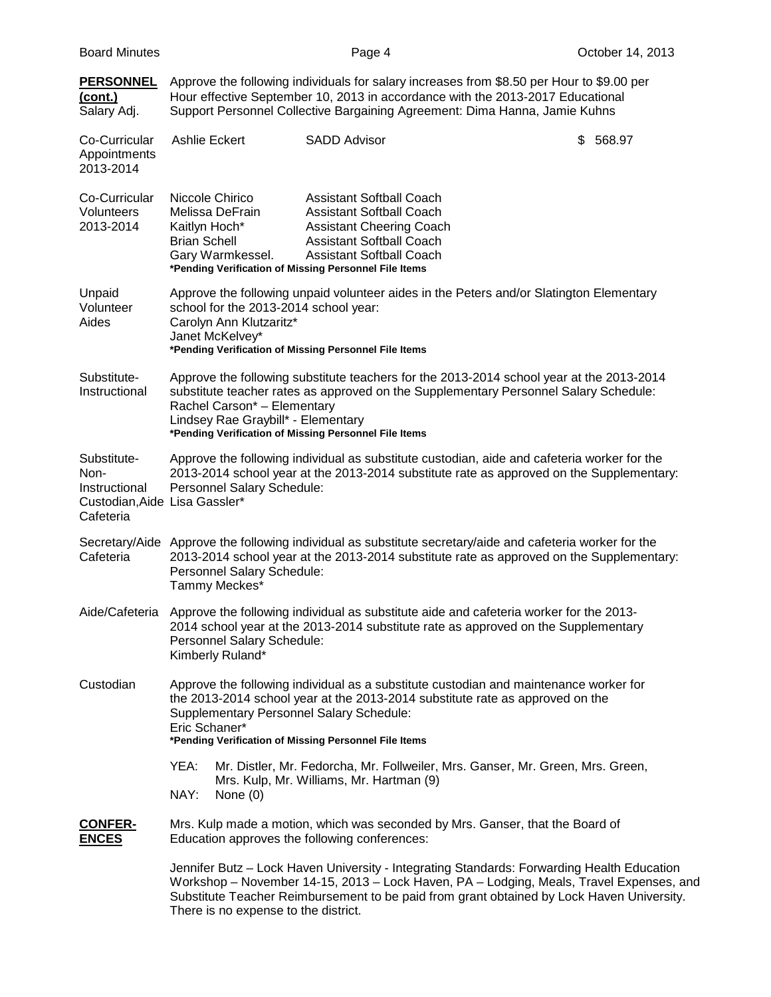| <b>Board Minutes</b>                                                               |                                                                                                                                                                                                                                                                                                                | Page 4                                                                                                                                                                      | October 14, 2013                                                                                                                                                                                                                                                                   |  |  |
|------------------------------------------------------------------------------------|----------------------------------------------------------------------------------------------------------------------------------------------------------------------------------------------------------------------------------------------------------------------------------------------------------------|-----------------------------------------------------------------------------------------------------------------------------------------------------------------------------|------------------------------------------------------------------------------------------------------------------------------------------------------------------------------------------------------------------------------------------------------------------------------------|--|--|
| <b>PERSONNEL</b><br><u>(cont.)</u><br>Salary Adj.                                  | Approve the following individuals for salary increases from \$8.50 per Hour to \$9.00 per<br>Hour effective September 10, 2013 in accordance with the 2013-2017 Educational<br>Support Personnel Collective Bargaining Agreement: Dima Hanna, Jamie Kuhns                                                      |                                                                                                                                                                             |                                                                                                                                                                                                                                                                                    |  |  |
| Co-Curricular<br>Appointments<br>2013-2014                                         | <b>Ashlie Eckert</b>                                                                                                                                                                                                                                                                                           | <b>SADD Advisor</b>                                                                                                                                                         | 568.97<br>S.                                                                                                                                                                                                                                                                       |  |  |
| Co-Curricular<br><b>Volunteers</b><br>2013-2014                                    | Niccole Chirico<br>Melissa DeFrain<br>Kaitlyn Hoch*<br><b>Brian Schell</b><br>Gary Warmkessel.<br>*Pending Verification of Missing Personnel File Items                                                                                                                                                        | <b>Assistant Softball Coach</b><br><b>Assistant Softball Coach</b><br><b>Assistant Cheering Coach</b><br><b>Assistant Softball Coach</b><br><b>Assistant Softball Coach</b> |                                                                                                                                                                                                                                                                                    |  |  |
| Unpaid<br>Volunteer<br>Aides                                                       | Approve the following unpaid volunteer aides in the Peters and/or Slatington Elementary<br>school for the 2013-2014 school year:<br>Carolyn Ann Klutzaritz*<br>Janet McKelvey*<br>*Pending Verification of Missing Personnel File Items                                                                        |                                                                                                                                                                             |                                                                                                                                                                                                                                                                                    |  |  |
| Substitute-<br>Instructional                                                       | Approve the following substitute teachers for the 2013-2014 school year at the 2013-2014<br>substitute teacher rates as approved on the Supplementary Personnel Salary Schedule:<br>Rachel Carson* - Elementary<br>Lindsey Rae Graybill* - Elementary<br>*Pending Verification of Missing Personnel File Items |                                                                                                                                                                             |                                                                                                                                                                                                                                                                                    |  |  |
| Substitute-<br>Non-<br>Instructional<br>Custodian, Aide Lisa Gassler*<br>Cafeteria | Approve the following individual as substitute custodian, aide and cafeteria worker for the<br>2013-2014 school year at the 2013-2014 substitute rate as approved on the Supplementary:<br>Personnel Salary Schedule:                                                                                          |                                                                                                                                                                             |                                                                                                                                                                                                                                                                                    |  |  |
| Cafeteria                                                                          | Secretary/Aide Approve the following individual as substitute secretary/aide and cafeteria worker for the<br>2013-2014 school year at the 2013-2014 substitute rate as approved on the Supplementary:<br>Personnel Salary Schedule:<br>Tammy Meckes*                                                           |                                                                                                                                                                             |                                                                                                                                                                                                                                                                                    |  |  |
|                                                                                    | Aide/Cafeteria Approve the following individual as substitute aide and cafeteria worker for the 2013-<br>2014 school year at the 2013-2014 substitute rate as approved on the Supplementary<br>Personnel Salary Schedule:<br>Kimberly Ruland*                                                                  |                                                                                                                                                                             |                                                                                                                                                                                                                                                                                    |  |  |
| Custodian                                                                          | Approve the following individual as a substitute custodian and maintenance worker for<br>the 2013-2014 school year at the 2013-2014 substitute rate as approved on the<br>Supplementary Personnel Salary Schedule:<br>Eric Schaner*<br>*Pending Verification of Missing Personnel File Items                   |                                                                                                                                                                             |                                                                                                                                                                                                                                                                                    |  |  |
|                                                                                    | YEA:<br>NAY:<br>None $(0)$                                                                                                                                                                                                                                                                                     | Mr. Distler, Mr. Fedorcha, Mr. Follweiler, Mrs. Ganser, Mr. Green, Mrs. Green,<br>Mrs. Kulp, Mr. Williams, Mr. Hartman (9)                                                  |                                                                                                                                                                                                                                                                                    |  |  |
| <b>CONFER-</b><br><b>ENCES</b>                                                     | Education approves the following conferences:                                                                                                                                                                                                                                                                  | Mrs. Kulp made a motion, which was seconded by Mrs. Ganser, that the Board of                                                                                               |                                                                                                                                                                                                                                                                                    |  |  |
|                                                                                    | There is no expense to the district.                                                                                                                                                                                                                                                                           |                                                                                                                                                                             | Jennifer Butz - Lock Haven University - Integrating Standards: Forwarding Health Education<br>Workshop - November 14-15, 2013 - Lock Haven, PA - Lodging, Meals, Travel Expenses, and<br>Substitute Teacher Reimbursement to be paid from grant obtained by Lock Haven University. |  |  |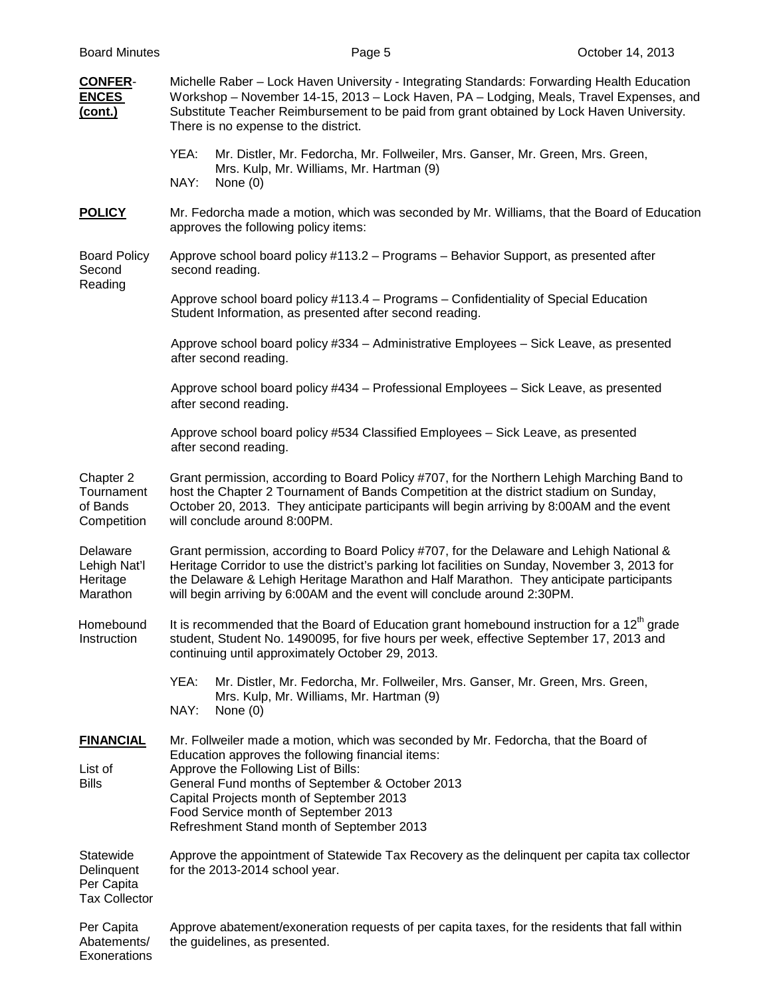| <b>Board Minutes</b>                                          | Page 5                                                                                                                                                                                                                                                                                                                                                               | October 14, 2013 |  |  |  |  |
|---------------------------------------------------------------|----------------------------------------------------------------------------------------------------------------------------------------------------------------------------------------------------------------------------------------------------------------------------------------------------------------------------------------------------------------------|------------------|--|--|--|--|
| <b>CONFER-</b><br><b>ENCES</b><br>(cont.)                     | Michelle Raber - Lock Haven University - Integrating Standards: Forwarding Health Education<br>Workshop - November 14-15, 2013 - Lock Haven, PA - Lodging, Meals, Travel Expenses, and<br>Substitute Teacher Reimbursement to be paid from grant obtained by Lock Haven University.<br>There is no expense to the district.                                          |                  |  |  |  |  |
|                                                               | YEA:<br>Mr. Distler, Mr. Fedorcha, Mr. Follweiler, Mrs. Ganser, Mr. Green, Mrs. Green,<br>Mrs. Kulp, Mr. Williams, Mr. Hartman (9)<br>NAY:<br>None $(0)$                                                                                                                                                                                                             |                  |  |  |  |  |
| <b>POLICY</b>                                                 | Mr. Fedorcha made a motion, which was seconded by Mr. Williams, that the Board of Education<br>approves the following policy items:                                                                                                                                                                                                                                  |                  |  |  |  |  |
| <b>Board Policy</b><br>Second<br>Reading                      | Approve school board policy #113.2 - Programs - Behavior Support, as presented after<br>second reading.                                                                                                                                                                                                                                                              |                  |  |  |  |  |
|                                                               | Approve school board policy #113.4 – Programs – Confidentiality of Special Education<br>Student Information, as presented after second reading.                                                                                                                                                                                                                      |                  |  |  |  |  |
|                                                               | Approve school board policy #334 - Administrative Employees - Sick Leave, as presented<br>after second reading.                                                                                                                                                                                                                                                      |                  |  |  |  |  |
|                                                               | Approve school board policy #434 - Professional Employees - Sick Leave, as presented<br>after second reading.                                                                                                                                                                                                                                                        |                  |  |  |  |  |
|                                                               | Approve school board policy #534 Classified Employees - Sick Leave, as presented<br>after second reading.                                                                                                                                                                                                                                                            |                  |  |  |  |  |
| Chapter 2<br>Tournament<br>of Bands<br>Competition            | Grant permission, according to Board Policy #707, for the Northern Lehigh Marching Band to<br>host the Chapter 2 Tournament of Bands Competition at the district stadium on Sunday,<br>October 20, 2013. They anticipate participants will begin arriving by 8:00AM and the event<br>will conclude around 8:00PM.                                                    |                  |  |  |  |  |
| Delaware<br>Lehigh Nat'l<br>Heritage<br>Marathon              | Grant permission, according to Board Policy #707, for the Delaware and Lehigh National &<br>Heritage Corridor to use the district's parking lot facilities on Sunday, November 3, 2013 for<br>the Delaware & Lehigh Heritage Marathon and Half Marathon. They anticipate participants<br>will begin arriving by 6:00AM and the event will conclude around 2:30PM.    |                  |  |  |  |  |
| Homebound<br>Instruction                                      | It is recommended that the Board of Education grant homebound instruction for a $12th$ grade<br>student, Student No. 1490095, for five hours per week, effective September 17, 2013 and<br>continuing until approximately October 29, 2013.                                                                                                                          |                  |  |  |  |  |
|                                                               | YEA:<br>Mr. Distler, Mr. Fedorcha, Mr. Follweiler, Mrs. Ganser, Mr. Green, Mrs. Green,<br>Mrs. Kulp, Mr. Williams, Mr. Hartman (9)<br>NAY:<br>None $(0)$                                                                                                                                                                                                             |                  |  |  |  |  |
| <b>FINANCIAL</b><br>List of<br><b>Bills</b>                   | Mr. Follweiler made a motion, which was seconded by Mr. Fedorcha, that the Board of<br>Education approves the following financial items:<br>Approve the Following List of Bills:<br>General Fund months of September & October 2013<br>Capital Projects month of September 2013<br>Food Service month of September 2013<br>Refreshment Stand month of September 2013 |                  |  |  |  |  |
| Statewide<br>Delinquent<br>Per Capita<br><b>Tax Collector</b> | Approve the appointment of Statewide Tax Recovery as the delinquent per capita tax collector<br>for the 2013-2014 school year.                                                                                                                                                                                                                                       |                  |  |  |  |  |
| Per Capita<br>Abatements/<br>Exonerations                     | Approve abatement/exoneration requests of per capita taxes, for the residents that fall within<br>the guidelines, as presented.                                                                                                                                                                                                                                      |                  |  |  |  |  |